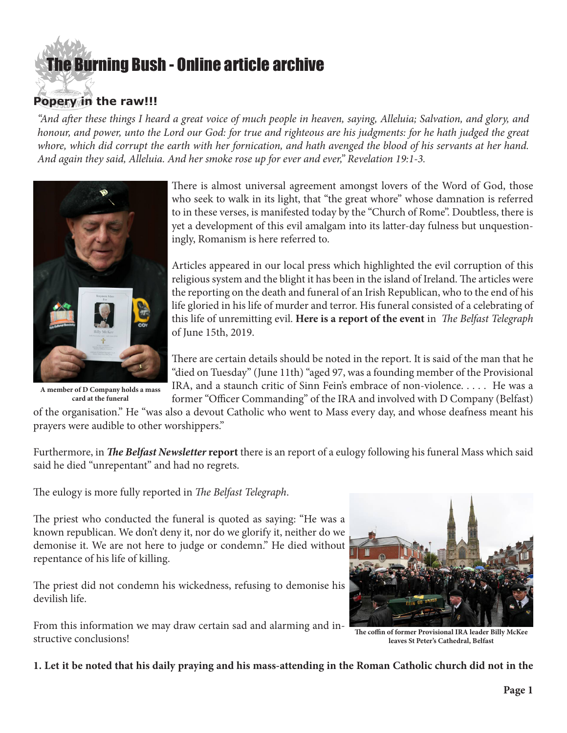## [The Burning Bush - Online article archive](http://www.ivanfoster.net)

## **Popery in the raw!!!**

*"And after these things I heard a great voice of much people in heaven, saying, Alleluia; Salvation, and glory, and*  honour, and power, unto the Lord our God: for true and righteous are his judgments: for he hath judged the great whore, which did corrupt the earth with her fornication, and hath avenged the blood of his servants at her hand. *And again they said, Alleluia. And her smoke rose up for ever and ever," Revelation 19:1-3.*



**A member of D Company holds a mass card at the funeral**

There is almost universal agreement amongst lovers of the Word of God, those who seek to walk in its light, that "the great whore" whose damnation is referred to in these verses, is manifested today by the "Church of Rome". Doubtless, there is yet a development of this evil amalgam into its latter-day fulness but unquestioningly, Romanism is here referred to.

Articles appeared in our local press which highlighted the evil corruption of this religious system and the blight it has been in the island of Ireland. The articles were the reporting on the death and funeral of an Irish Republican, who to the end of his life gloried in his life of murder and terror. His funeral consisted of a celebrating of this life of unremitting evil. **[Here is a report of the event](https://www.belfasttelegraph.co.uk/news/northern-ireland/veteran-republican-unrepentant-mourners-told-at-his-funeral-38221850.html)** in *The Belfast Telegraph*  of June 15th, 2019.

There are certain details should be noted in the report. It is said of the man that he "died on Tuesday" (June 11th) "aged 97, was a founding member of the Provisional IRA, and a staunch critic of Sinn Fein's embrace of non-violence. . . . . He was a former "Officer Commanding" of the IRA and involved with D Company (Belfast)

of the organisation." He "was also a devout Catholic who went to Mass every day, and whose deafness meant his prayers were audible to other worshippers."

Furthermore, in *[The Belfast Newsletter](https://www.newsletter.co.uk/news/crime/dead-ira-godfather-billy-mckee-a-bitter-and-twisted-man-1-8965334)* **report** there is an report of a eulogy following his funeral Mass which said said he died "unrepentant" and had no regrets.

The eulogy is more fully reported in *The Belfast Telegraph*.

The priest who conducted the funeral is quoted as saying: "He was a known republican. We don't deny it, nor do we glorify it, neither do we demonise it. We are not here to judge or condemn." He died without repentance of his life of killing.

The priest did not condemn his wickedness, refusing to demonise his devilish life.

From this information we may draw certain sad and alarming and instructive conclusions!



**The coffin of former Provisional IRA leader Billy McKee leaves St Peter's Cathedral, Belfast**

**1. Let it be noted that his daily praying and his mass-attending in the Roman Catholic church did not in the**